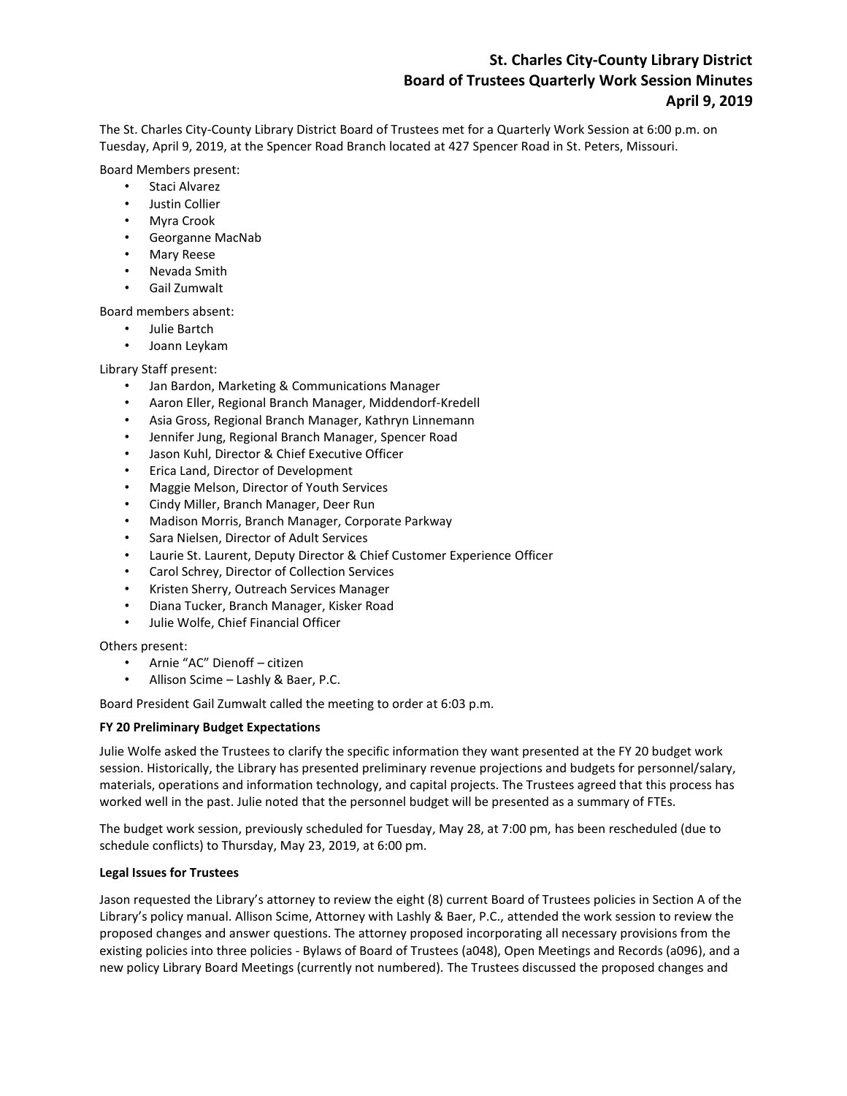# **St. Charles City-County Library District Board of Trustees Quarterly Work Session Minutes April 9, 2019**

The St. Charles City-County Library District Board of Trustees met for a Quarterly Work Session at 6:00 p.m. on Tuesday, April 9, 2019, at the Spencer Road Branch located at 427 Spencer Road in St. Peters, Missouri.

## Board Members present:

- Staci Alvarez
- Justin Collier
- Myra Crook
- Georganne MacNab
- Mary Reese
- Nevada Smith
- Gail Zumwalt

Board members absent:

- Julie Bartch
- Joann Leykam

## Library Staff present:

- Jan Bardon, Marketing & Communications Manager
- Aaron Eller, Regional Branch Manager, Middendorf-Kredell
- Asia Gross, Regional Branch Manager, Kathryn Linnemann
- Jennifer Jung, Regional Branch Manager, Spencer Road
- Jason Kuhl, Director & Chief Executive Officer
- Erica Land, Director of Development
- Maggie Melson, Director of Youth Services
- Cindy Miller, Branch Manager, Deer Run
- Madison Morris, Branch Manager, Corporate Parkway
- Sara Nielsen, Director of Adult Services
- Laurie St. Laurent, Deputy Director & Chief Customer Experience Officer
- Carol Schrey, Director of Collection Services
- Kristen Sherry, Outreach Services Manager
- Diana Tucker, Branch Manager, Kisker Road
- Julie Wolfe, Chief Financial Officer

Others present:

- Arnie "AC" Dienoff citizen
- Allison Scime Lashly & Baer, P.C.

Board President Gail Zumwalt called the meeting to order at 6:03 p.m.

### **FY 20 Preliminary Budget Expectations**

Julie Wolfe asked the Trustees to clarify the specific information they want presented at the FY 20 budget work session. Historically, the Library has presented preliminary revenue projections and budgets for personnel/salary, materials, operations and information technology, and capital projects. The Trustees agreed that this process has worked well in the past. Julie noted that the personnel budget will be presented as a summary of FTEs.

The budget work session, previously scheduled for Tuesday, May 28, at 7:00 pm, has been rescheduled (due to schedule conflicts) to Thursday, May 23, 2019, at 6:00 pm.

### **Legal Issues for Trustees**

Jason requested the Library's attorney to review the eight (8) current Board of Trustees policies in Section A of the Library's policy manual. Allison Scime, Attorney with Lashly & Baer, P.C., attended the work session to review the proposed changes and answer questions. The attorney proposed incorporating all necessary provisions from the existing policies into three policies - Bylaws of Board of Trustees (a048), Open Meetings and Records (a096), and a new policy Library Board Meetings (currently not numbered). The Trustees discussed the proposed changes and